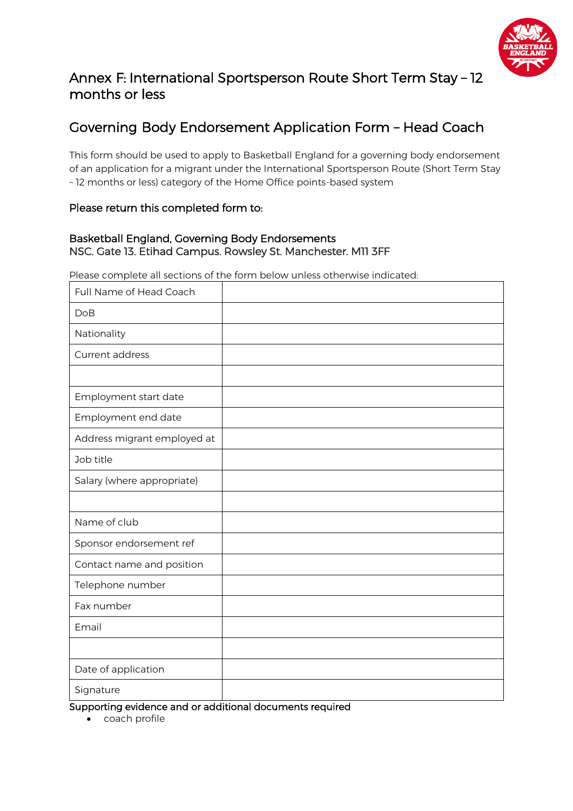

# Annex F: International Sportsperson Route Short Term Stay – 12 months or less

# Governing Body Endorsement Application Form – Head Coach

This form should be used to apply to Basketball England for a governing body endorsement of an application for a migrant under the International Sportsperson Route (Short Term Stay – 12 months or less) category of the Home Office points-based system

### Please return this completed form to:

## Basketball England, Governing Body Endorsements NSC. Gate 13. Etihad Campus. Rowsley St. Manchester. M11 3FF

Please complete all sections of the form below unless otherwise indicated:

| Full Name of Head Coach     |  |
|-----------------------------|--|
| <b>DoB</b>                  |  |
| Nationality                 |  |
| Current address             |  |
|                             |  |
| Employment start date       |  |
| Employment end date         |  |
| Address migrant employed at |  |
| Job title                   |  |
| Salary (where appropriate)  |  |
|                             |  |
| Name of club                |  |
| Sponsor endorsement ref     |  |
| Contact name and position   |  |
| Telephone number            |  |
| Fax number                  |  |
| Email                       |  |
|                             |  |
| Date of application         |  |
| Signature                   |  |

Supporting evidence and or additional documents required

• coach profile